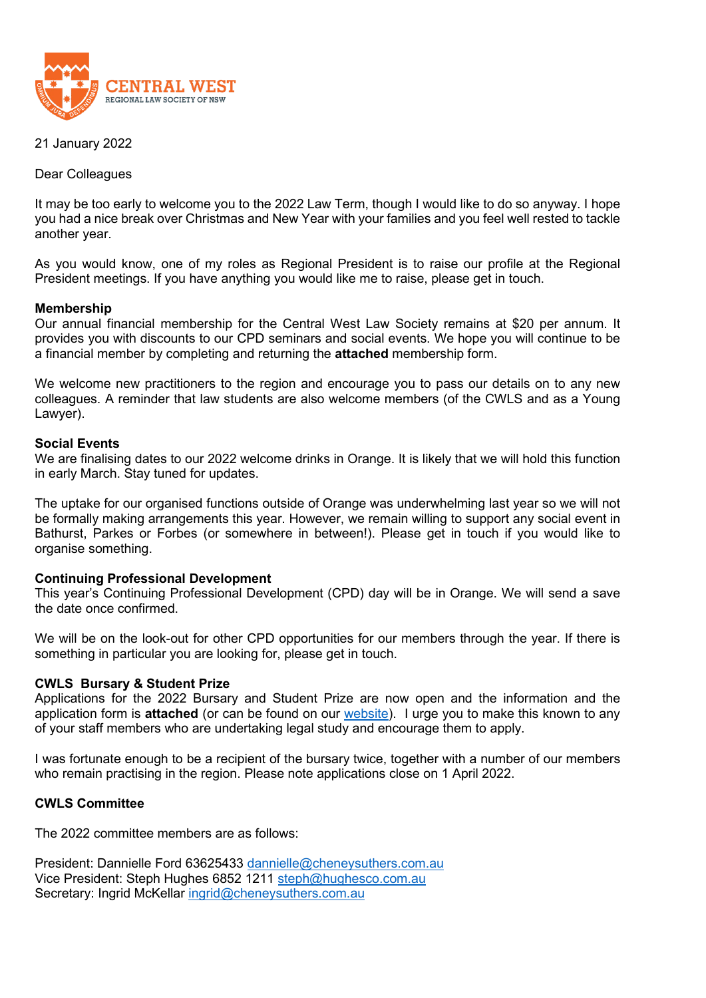

21 January 2022

Dear Colleagues

It may be too early to welcome you to the 2022 Law Term, though I would like to do so anyway. I hope you had a nice break over Christmas and New Year with your families and you feel well rested to tackle another year.

As you would know, one of my roles as Regional President is to raise our profile at the Regional President meetings. If you have anything you would like me to raise, please get in touch.

## **Membership**

Our annual financial membership for the Central West Law Society remains at \$20 per annum. It provides you with discounts to our CPD seminars and social events. We hope you will continue to be a financial member by completing and returning the **attached** membership form.

We welcome new practitioners to the region and encourage you to pass our details on to any new colleagues. A reminder that law students are also welcome members (of the CWLS and as a Young Lawyer).

## **Social Events**

We are finalising dates to our 2022 welcome drinks in Orange. It is likely that we will hold this function in early March. Stay tuned for updates.

The uptake for our organised functions outside of Orange was underwhelming last year so we will not be formally making arrangements this year. However, we remain willing to support any social event in Bathurst, Parkes or Forbes (or somewhere in between!). Please get in touch if you would like to organise something.

### **Continuing Professional Development**

This year's Continuing Professional Development (CPD) day will be in Orange. We will send a save the date once confirmed.

We will be on the look-out for other CPD opportunities for our members through the year. If there is something in particular you are looking for, please get in touch.

# **CWLS Bursary & Student Prize**

Applications for the 2022 Bursary and Student Prize are now open and the information and the application form is **attached** (or can be found on our [website\)](https://www.centralwestlawsociety.org.au/). I urge you to make this known to any of your staff members who are undertaking legal study and encourage them to apply.

I was fortunate enough to be a recipient of the bursary twice, together with a number of our members who remain practising in the region. Please note applications close on 1 April 2022.

# **CWLS Committee**

The 2022 committee members are as follows:

President: Dannielle Ford 63625433 [dannielle@cheneysuthers.com.au](mailto:dannielle@cheneysuthers.com.au) Vice President: Steph Hughes 6852 1211 [steph@hughesco.com.au](mailto:steph@hughesco.com.au) Secretary: Ingrid McKellar [ingrid@cheneysuthers.com.au](mailto:ingrid@cheneysuthers.com.au)